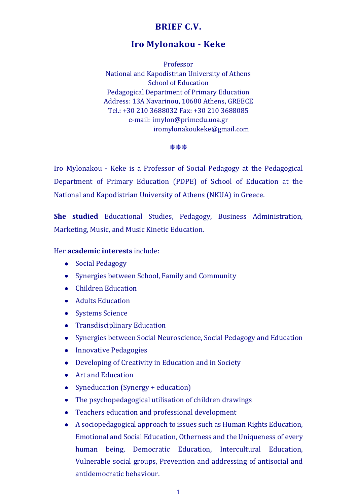## **BRIEF C.V.**

# **Iro Mylonakou - Keke**

Professor National and Kapodistrian University of Athens School of Education Pedagogical Department of Primary Education Address: 13A Navarinou, 10680 Athens, GREECE Tel.: +30 210 3688032 Fax: +30 210 3688085 e-mail: imylon@primedu.uoa.gr iromylonakoukeke@gmail.com

**\*\*\*** 

Iro Mylonakou - Keke is a Professor of Social Pedagogy at the Pedagogical Department of Primary Education (PDPE) of School of Education at the National and Kapodistrian University of Athens (NKUA) in Greece.

**She studied** Educational Studies, Pedagogy, Business Administration, Marketing, Music, and Music Kinetic Education.

Her **academic interests** include:

- Social Pedagogy
- Synergies between School, Family and Community
- Children Education
- Adults Education
- Systems Science
- Transdisciplinary Education
- Synergies between Social Neuroscience, Social Pedagogy and Education
- Innovative Pedagogies
- Developing of Creativity in Education and in Society
- Art and Education
- Syneducation (Synergy + education)
- The psychopedagogical utilisation of children drawings
- Teachers education and professional development
- A sociopedagogical approach to issues such as Human Rights Education, Emotional and Social Education, Otherness and the Uniqueness of every human being, Democratic Education, Intercultural Education, Vulnerable social groups, Prevention and addressing of antisocial and antidemocratic behaviour.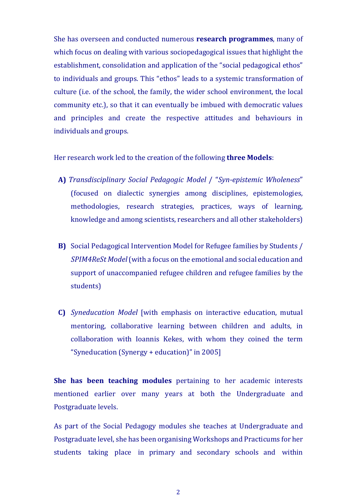She has overseen and conducted numerous **research programmes**, many of which focus on dealing with various sociopedagogical issues that highlight the establishment, consolidation and application of the "social pedagogical ethos" to individuals and groups. This "ethos" leads to a systemic transformation of culture (i.e. of the school, the family, the wider school environment, the local community etc.), so that it can eventually be imbued with democratic values and principles and create the respective attitudes and behaviours in individuals and groups.

Her research work led to the creation of the following **three Models**:

- **Α)** *Transdisciplinary Social Pedagogic Model* / "*Syn-epistemic Wholeness*" (focused on dialectic synergies among disciplines, epistemologies, methodologies, research strategies, practices, ways of learning, knowledge and among scientists, researchers and all other stakeholders)
- **B)** Social Pedagogical Intervention Model for Refugee families by Students / *SPIM4ReSt Model* (with a focus on the emotional and social education and support of unaccompanied refugee children and refugee families by the students)
- **C)** *Syneducation Model* [with emphasis on interactive education, mutual mentoring, collaborative learning between children and adults, in collaboration with Ioannis Kekes, with whom they coined the term "Syneducation (Synergy + education)" in 2005]

**She has been teaching modules** pertaining to her academic interests mentioned earlier over many years at both the Undergraduate and Postgraduate levels.

As part of the Social Pedagogy modules she teaches at Undergraduate and Postgraduate level, she has been organising Workshops and Practicums for her students taking place in primary and secondary schools and within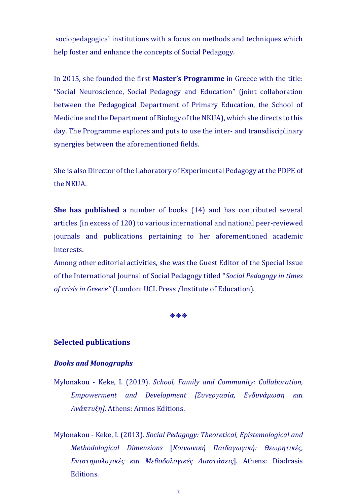sociopedagogical institutions with a focus on methods and techniques which help foster and enhance the concepts of Social Pedagogy.

In 2015, she founded the first **Master's Programme** in Greece with the title: "Social Neuroscience, Social Pedagogy and Education" (joint collaboration between the Pedagogical Department of Primary Education, the School of Medicine and the Department of Biology of the NKUA), which she directs to this day. The Programme explores and puts to use the inter- and transdisciplinary synergies between the aforementioned fields.

She is also Director of the Laboratory of Experimental Pedagogy at the PDPE of the NKUA.

**She has published** a number of books (14) and has contributed several articles (in excess of 120) to various international and national peer-reviewed journals and publications pertaining to her aforementioned academic interests.

Among other editorial activities, she was the Guest Editor of the Special Issue of the International Journal of Social Pedagogy titled ''*Social Pedagogy in times of crisis in Greece''* (London: UCL Press /Institute of Education).

#### **\*\*\***

### **Selected publications**

#### *Books and Monographs*

- Mylonakou Keke, I. (2019). *School, Family and Community: Collaboration, Empowerment and Development [Συνεργασία, Ενδυνάμωση και Ανάπτυξη]*. Athens: Armos Editions.
- Mylonakou Keke, I. (2013). *Social Pedagogy: Theoretical, Epistemological and Methodological Dimensions* [*Κοινωνική Παιδαγωγική: Θεωρητικές, Επιστημολογικές και Μεθοδολογικές Διαστάσεις*]. Athens: Diadrasis Editions.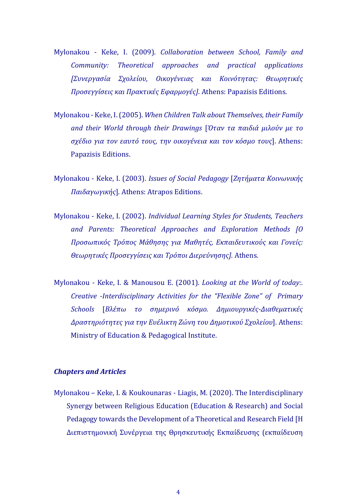- Mylonakou Keke, I. (2009). *Collaboration between School, Family and Community: Theoretical approaches and practical applications [Συνεργασία Σχολείου, Οικογένειας και Κοινότητας: Θεωρητικές Προσεγγίσεις και Πρακτικές Εφαρμογές]*. Athens: Papazisis Editions.
- Mylonakou Keke, I. (2005). *When Children Talk about Themselves, their Family and their World through their Drawings* [*Όταν τα παιδιά μιλούν με το σχέδιο για τον εαυτό τους, την οικογένεια και τον κόσμο τους*]. Athens: Papazisis Editions.
- Mylonakou Keke, I. (2003). *Issues of Social Pedagogy* [*Ζητήματα Κοινωνικής Παιδαγωγικής*]. Athens: Atrapos Editions.
- Mylonakou Keke, I. (2002). *Individual Learning Styles for Students, Teachers and Parents: Theoretical Approaches and Exploration Methods [Ο Προσωπικός Τρόπος Μάθησης για Μαθητές, Εκπαιδευτικούς και Γονείς: Θεωρητικές Προσεγγίσεις και Τρόποι Διερεύνησης].* Athens.
- Mylonakou Keke, I. & Manousou E. (2001). *Looking at the World of today:. Creative -Interdisciplinary Activities for the "Flexible Zone" of Primary Schools* [*Βλέπω το σημερινό κόσμο. Δημιουργικές-Διαθεματικές Δραστηριότητες για την Ευέλικτη Ζώνη του Δημοτικού Σχολείου*]. Athens: Ministry of Education & Pedagogical Institute.

## *Chapters and Articles*

Mylonakou – Keke, I. & Koukounaras - Liagis, M. (2020). The Interdisciplinary Synergy between Religious Education (Education & Research) and Social Pedagogy towards the Development of a Theoretical and Research Field [Η Διεπιστημονική Συνέργεια της Θρησκευτικής Εκπαίδευσης (εκπαίδευση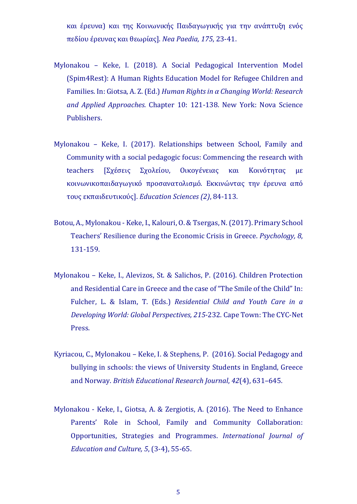και έρευνα) και της Κοινωνικής Παιδαγωγικής για την ανάπτυξη ενός πεδίου έρευνας και θεωρίας]. *Nea Paedia, 175*, 23-41.

- Mylonakou Keke, I. (2018). A Social Pedagogical Intervention Model (Spim4Rest): A Human Rights Education Model for Refugee Children and Families. In: Giotsa, A. Ζ. (Ed.) *Human Rights in α Changing World: Research and Applied Approaches.* Chapter 10: 121-138. New York: Nova Science Publishers.
- Mylonakou Keke, I. (2017). Relationships between School, Family and Community with a social pedagogic focus: Commencing the research with teachers [Σχέσεις Σχολείου, Οικογένειας και Κοινότητας με κοινωνικοπαιδαγωγικό προσανατολισμό. Εκκινώντας την έρευνα από τους εκπαιδευτικούς]. *Education Sciences (2)*, 84-113.
- Botou, Α., Mylonakou Keke, I., Kalouri, Ο. & Tsergas, Ν. (2017). Primary School Teachers' Resilience during the Economic Crisis in Greece. *Psychology, 8*, 131-159.
- Mylonakou Keke, I., Alevizos, St. & Salichos, P. (2016). Children Protection and Residential Care in Greece and the case of "The Smile of the Child" In: Fulcher, L. & Islam, T. (Eds.) *Residential Child and Youth Care in a Developing World: Global Perspectives, 215*-232. Cape Town: The CYC-Net Press.
- Kyriacou, C., Mylonakou Keke, I. & Stephens, P. (2016). Social Pedagogy and bullying in schools: the views of University Students in England, Greece and Norway. *British Educational Research Journal*, *42*(4), 631–645.
- Mylonakou Keke, I., Giotsa, A. & Zergiotis, A. (2016). The Need to Enhance Parents' Role in School, Family and Community Collaboration: Opportunities, Strategies and Programmes. *International Journal of Education and Culture, 5*, (3-4), 55-65.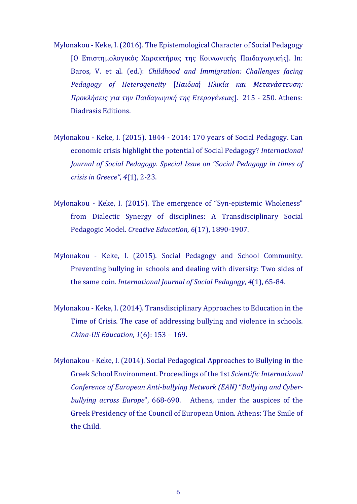- Mylonakou Keke, Ι. (2016). The Epistemological Character of Social Pedagogy [Ο Επιστημολογικός Χαρακτήρας της Κοινωνικής Παιδαγωγικής]. In: Baros, V. et al. (ed.): *Childhood and Immigration: Challenges facing Pedagogy of Heterogeneity* [*Παιδική Ηλικία και Μετανάστευση: Προκλήσεις για την Παιδαγωγική της Ετερογένειας*]. 215 - 250. Athens: Diadrasis Editions.
- Mylonakou Keke, I. (2015). 1844 2014: 170 years of Social Pedagogy. Can economic crisis highlight the potential of Social Pedagogy? *International Journal of Social Pedagogy. Special Issue on "Social Pedagogy in times of crisis in Greece"*, *4*(1), 2-23.
- Mylonakou Keke, I. (2015). The emergence of "Syn-epistemic Wholeness" from Dialectic Synergy of disciplines: A Transdisciplinary Social Pedagogic Model. *Creative Education, 6*(17), 1890-1907.
- Mylonakou Keke, I. (2015). Social Pedagogy and School Community. Preventing bullying in schools and dealing with diversity: Two sides of the same coin. *International Journal of Social Pedagogy*, *4*(1), 65-84.
- Mylonakou Keke, I. (2014). Transdisciplinary Approaches to Education in the Time of Crisis. The case of addressing bullying and violence in schools. *China-US Education*, *1*(6): 153 – 169.
- Mylonakou Keke, I. (2014). Social Pedagogical Approaches to Bullying in the Greek School Environment. Proceedings of the 1st *Scientific International Conference of European Anti-bullying Network (EAN)* "*Bullying and Cyberbullying across Europe*", 668-690. Athens, under the auspices of the Greek Presidency of the Council of European Union. Athens: The Smile of the Child.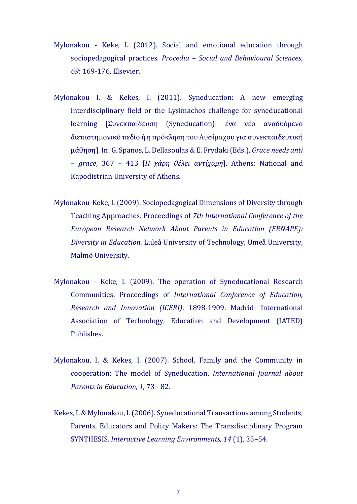- Mylonakou Keke, I. (2012). Social and emotional education through sociopedagogical practices. *Procedia – Social and Behavioural Sciences*, *69*: 169-176, Elsevier.
- Mylonakou I. & Kekes, I. (2011). Syneducation: A new emerging interdisciplinary field or the Lysimachos challenge for syneducational learning [Συνεκπαίδευση (Syneducation): ένα νέο αναδυόμενο διεπιστημονικό πεδίο ή η πρόκληση του Λυσίμαχου για συνεκπαιδευτική μάθηση]. In: G. Spanos, L. Dellasoulas & E. Frydaki (Eds.), *Grace needs anti – grace*, 367 – 413 [*Η χάρη θέλει αντίχαρη*]. Athens: National and Kapodistrian University of Athens.
- Mylonakou-Keke, I. (2009). Sociopedagogical Dimensions of Diversity through Teaching Approaches. Proceedings of *7th International Conference of the European Research Network About Parents in Education (ERNAPE): Diversity in Education*. Luleå University of Technology, Umeå University, Malmö University.
- Mylonakou Keke, I. (2009). The operation of Syneducational Research Communities. Proceedings of *International Conference of Education, Research and Innovation (ICERI)*, 1898-1909. Madrid: International Association of Technology, Education and Development (IATED) Publishes.
- Mylonakou, I. & Kekes, I. (2007). School, Family and the Community in cooperation: The model of Syneducation. *International Journal about Parents in Education, 1*, 73 - 82.
- Kekes, I. & Mylonakou, I. (2006). Syneducational Transactions among Students, Parents, Educators and Policy Makers: The Transdisciplinary Program SYNTHESIS. *Interactive Learning Environments, 14* (1), 35–54.